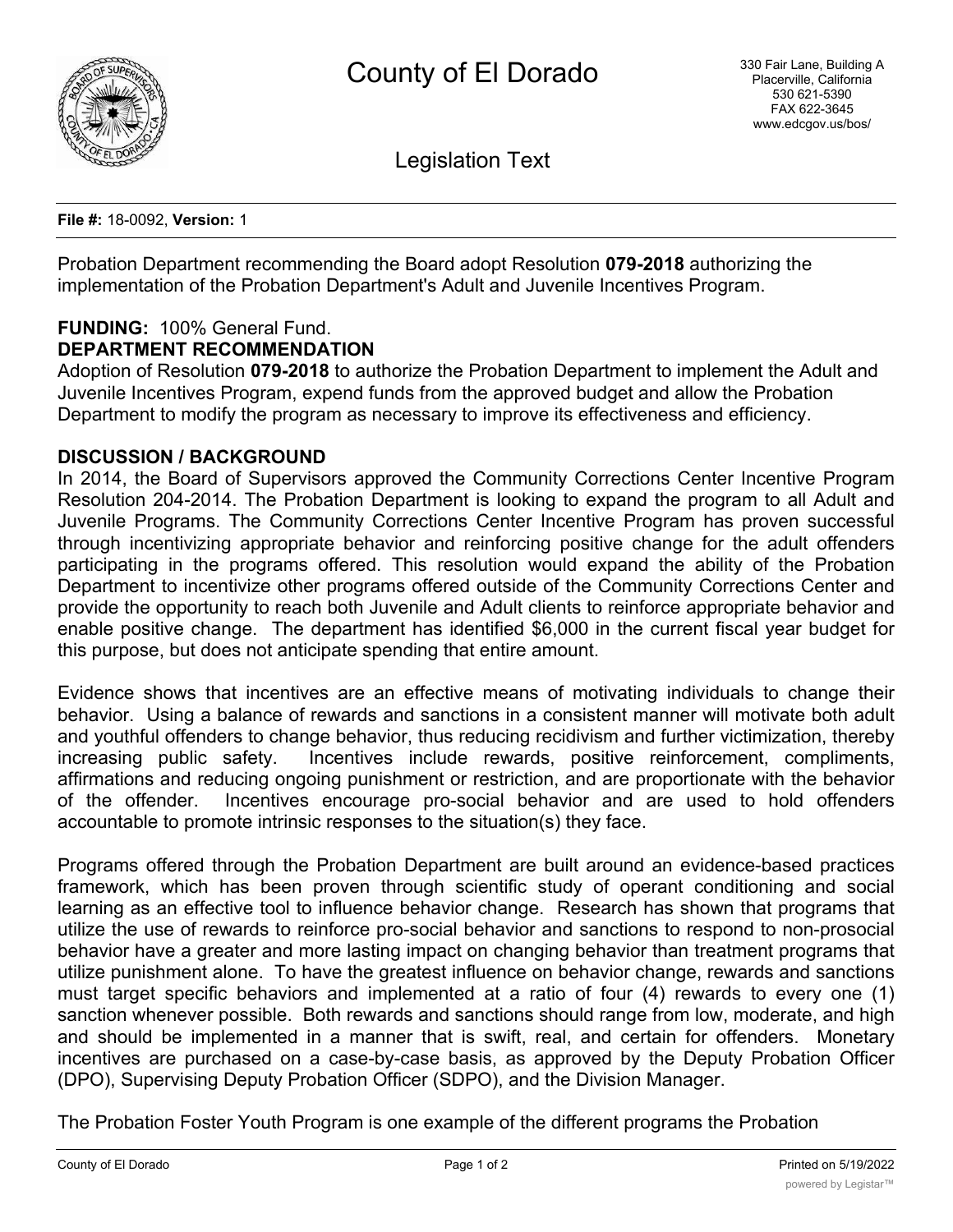

Legislation Text

**File #:** 18-0092, **Version:** 1

Probation Department recommending the Board adopt Resolution **079-2018** authorizing the implementation of the Probation Department's Adult and Juvenile Incentives Program.

#### **FUNDING:** 100% General Fund. **DEPARTMENT RECOMMENDATION**

Adoption of Resolution **079-2018** to authorize the Probation Department to implement the Adult and Juvenile Incentives Program, expend funds from the approved budget and allow the Probation Department to modify the program as necessary to improve its effectiveness and efficiency.

## **DISCUSSION / BACKGROUND**

In 2014, the Board of Supervisors approved the Community Corrections Center Incentive Program Resolution 204-2014. The Probation Department is looking to expand the program to all Adult and Juvenile Programs. The Community Corrections Center Incentive Program has proven successful through incentivizing appropriate behavior and reinforcing positive change for the adult offenders participating in the programs offered. This resolution would expand the ability of the Probation Department to incentivize other programs offered outside of the Community Corrections Center and provide the opportunity to reach both Juvenile and Adult clients to reinforce appropriate behavior and enable positive change. The department has identified \$6,000 in the current fiscal year budget for this purpose, but does not anticipate spending that entire amount.

Evidence shows that incentives are an effective means of motivating individuals to change their behavior. Using a balance of rewards and sanctions in a consistent manner will motivate both adult and youthful offenders to change behavior, thus reducing recidivism and further victimization, thereby increasing public safety. Incentives include rewards, positive reinforcement, compliments, affirmations and reducing ongoing punishment or restriction, and are proportionate with the behavior of the offender. Incentives encourage pro-social behavior and are used to hold offenders accountable to promote intrinsic responses to the situation(s) they face.

Programs offered through the Probation Department are built around an evidence-based practices framework, which has been proven through scientific study of operant conditioning and social learning as an effective tool to influence behavior change. Research has shown that programs that utilize the use of rewards to reinforce pro-social behavior and sanctions to respond to non-prosocial behavior have a greater and more lasting impact on changing behavior than treatment programs that utilize punishment alone. To have the greatest influence on behavior change, rewards and sanctions must target specific behaviors and implemented at a ratio of four (4) rewards to every one (1) sanction whenever possible. Both rewards and sanctions should range from low, moderate, and high and should be implemented in a manner that is swift, real, and certain for offenders. Monetary incentives are purchased on a case-by-case basis, as approved by the Deputy Probation Officer (DPO), Supervising Deputy Probation Officer (SDPO), and the Division Manager.

The Probation Foster Youth Program is one example of the different programs the Probation